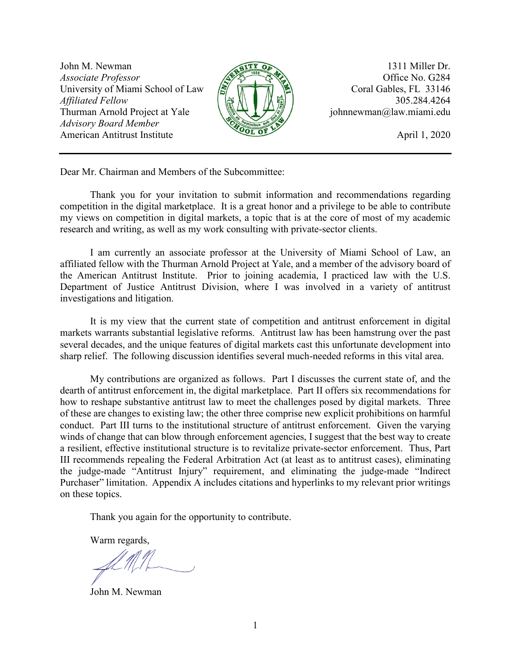John M. Newman 1311 Miller Dr. *Associate Professor*  $\sqrt{275}$   $\sqrt{275}$   $\sqrt{275}$  Office No. G284 University of Miami School of Law  $\left(\frac{1}{2}\right)$   $\left(\frac{1}{2}\right)$   $\left(\frac{1}{2}\right)$  Coral Gables, FL 33146 *Affiliated Fellow*  $\left(\begin{array}{c|c}\end{array}\right)$   $\left(\begin{array}{c|c}\end{array}\right)$   $\left(\begin{array}{c|c}\end{array}\right)$  305.284.4264 Thurman Arnold Project at Yale  $\sqrt{\sqrt{2} + 1}$  / iohnnewman@law.miami.edu *Advisory Board Member* American Antitrust Institute **April 1, 2020** 



Dear Mr. Chairman and Members of the Subcommittee:

Thank you for your invitation to submit information and recommendations regarding competition in the digital marketplace. It is a great honor and a privilege to be able to contribute my views on competition in digital markets, a topic that is at the core of most of my academic research and writing, as well as my work consulting with private-sector clients.

I am currently an associate professor at the University of Miami School of Law, an affiliated fellow with the Thurman Arnold Project at Yale, and a member of the advisory board of the American Antitrust Institute. Prior to joining academia, I practiced law with the U.S. Department of Justice Antitrust Division, where I was involved in a variety of antitrust investigations and litigation.

It is my view that the current state of competition and antitrust enforcement in digital markets warrants substantial legislative reforms. Antitrust law has been hamstrung over the past several decades, and the unique features of digital markets cast this unfortunate development into sharp relief. The following discussion identifies several much-needed reforms in this vital area.

My contributions are organized as follows. Part I discusses the current state of, and the dearth of antitrust enforcement in, the digital marketplace. Part II offers six recommendations for how to reshape substantive antitrust law to meet the challenges posed by digital markets. Three of these are changes to existing law; the other three comprise new explicit prohibitions on harmful conduct. Part III turns to the institutional structure of antitrust enforcement. Given the varying winds of change that can blow through enforcement agencies, I suggest that the best way to create a resilient, effective institutional structure is to revitalize private-sector enforcement. Thus, Part III recommends repealing the Federal Arbitration Act (at least as to antitrust cases), eliminating the judge-made "Antitrust Injury" requirement, and eliminating the judge-made "Indirect Purchaser" limitation. Appendix A includes citations and hyperlinks to my relevant prior writings on these topics.

Thank you again for the opportunity to contribute.

Warm regards,

John M. Newman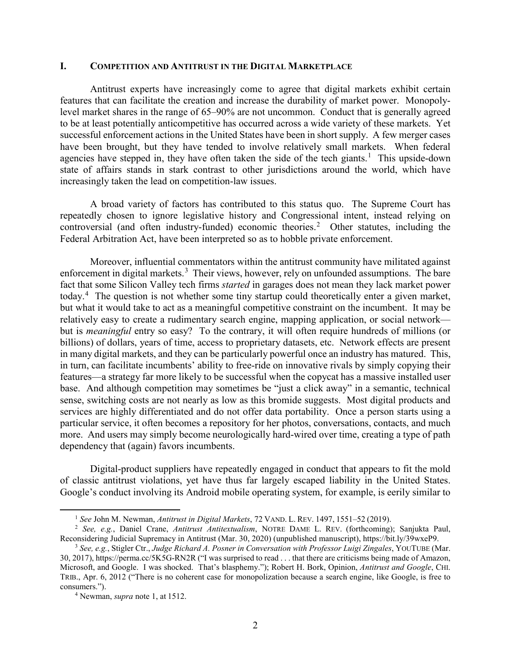### **I. COMPETITION AND ANTITRUST IN THE DIGITAL MARKETPLACE**

Antitrust experts have increasingly come to agree that digital markets exhibit certain features that can facilitate the creation and increase the durability of market power. Monopolylevel market shares in the range of 65–90% are not uncommon. Conduct that is generally agreed to be at least potentially anticompetitive has occurred across a wide variety of these markets. Yet successful enforcement actions in the United States have been in short supply. A few merger cases have been brought, but they have tended to involve relatively small markets. When federal agencies have stepped in, they have often taken the side of the tech giants.<sup>[1](#page-1-0)</sup> This upside-down state of affairs stands in stark contrast to other jurisdictions around the world, which have increasingly taken the lead on competition-law issues.

A broad variety of factors has contributed to this status quo. The Supreme Court has repeatedly chosen to ignore legislative history and Congressional intent, instead relying on controversial (and often industry-funded) economic theories. [2](#page-1-1) Other statutes, including the Federal Arbitration Act, have been interpreted so as to hobble private enforcement.

Moreover, influential commentators within the antitrust community have militated against enforcement in digital markets.<sup>[3](#page-1-2)</sup> Their views, however, rely on unfounded assumptions. The bare fact that some Silicon Valley tech firms *started* in garages does not mean they lack market power today.<sup>[4](#page-1-3)</sup> The question is not whether some tiny startup could theoretically enter a given market, but what it would take to act as a meaningful competitive constraint on the incumbent. It may be relatively easy to create a rudimentary search engine, mapping application, or social network but is *meaningful* entry so easy? To the contrary, it will often require hundreds of millions (or billions) of dollars, years of time, access to proprietary datasets, etc. Network effects are present in many digital markets, and they can be particularly powerful once an industry has matured. This, in turn, can facilitate incumbents' ability to free-ride on innovative rivals by simply copying their features—a strategy far more likely to be successful when the copycat has a massive installed user base. And although competition may sometimes be "just a click away" in a semantic, technical sense, switching costs are not nearly as low as this bromide suggests. Most digital products and services are highly differentiated and do not offer data portability. Once a person starts using a particular service, it often becomes a repository for her photos, conversations, contacts, and much more. And users may simply become neurologically hard-wired over time, creating a type of path dependency that (again) favors incumbents.

Digital-product suppliers have repeatedly engaged in conduct that appears to fit the mold of classic antitrust violations, yet have thus far largely escaped liability in the United States. Google's conduct involving its Android mobile operating system, for example, is eerily similar to

 <sup>1</sup> *See* John M. Newman, *Antitrust in Digital Markets*, 72 VAND. L. REV. 1497, 1551–52 (2019).

<span id="page-1-1"></span><span id="page-1-0"></span><sup>2</sup> *See, e.g.*, Daniel Crane, *Antitrust Antitextualism*, NOTRE DAME L. REV. (forthcoming); Sanjukta Paul, Reconsidering Judicial Supremacy in Antitrust (Mar. 30, 2020) (unpublished manuscript), https://bit.ly/39wxeP9.

<span id="page-1-2"></span><sup>3</sup> *See, e.g.*, Stigler Ctr., *Judge Richard A. Posner in Conversation with Professor Luigi Zingales*, YOUTUBE (Mar. 30, 2017), https://perma.cc/5K5G-RN2R ("I was surprised to read . . . that there are criticisms being made of Amazon, Microsoft, and Google. I was shocked. That's blasphemy."); Robert H. Bork, Opinion, *Antitrust and Google*, CHI. TRIB., Apr. 6, 2012 ("There is no coherent case for monopolization because a search engine, like Google, is free to consumers.").

<span id="page-1-3"></span><sup>4</sup> Newman, *supra* note 1, at 1512.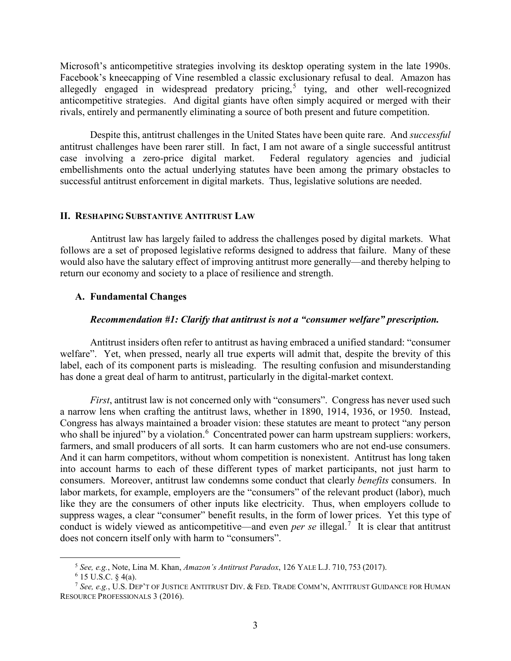Microsoft's anticompetitive strategies involving its desktop operating system in the late 1990s. Facebook's kneecapping of Vine resembled a classic exclusionary refusal to deal. Amazon has allegedly engaged in widespread predatory pricing,<sup>[5](#page-2-0)</sup> tying, and other well-recognized anticompetitive strategies. And digital giants have often simply acquired or merged with their rivals, entirely and permanently eliminating a source of both present and future competition.

Despite this, antitrust challenges in the United States have been quite rare. And *successful* antitrust challenges have been rarer still. In fact, I am not aware of a single successful antitrust case involving a zero-price digital market. Federal regulatory agencies and judicial embellishments onto the actual underlying statutes have been among the primary obstacles to successful antitrust enforcement in digital markets. Thus, legislative solutions are needed.

## **II. RESHAPING SUBSTANTIVE ANTITRUST LAW**

Antitrust law has largely failed to address the challenges posed by digital markets. What follows are a set of proposed legislative reforms designed to address that failure. Many of these would also have the salutary effect of improving antitrust more generally—and thereby helping to return our economy and society to a place of resilience and strength.

## **A. Fundamental Changes**

#### *Recommendation #1: Clarify that antitrust is not a "consumer welfare" prescription.*

Antitrust insiders often refer to antitrust as having embraced a unified standard: "consumer welfare". Yet, when pressed, nearly all true experts will admit that, despite the brevity of this label, each of its component parts is misleading. The resulting confusion and misunderstanding has done a great deal of harm to antitrust, particularly in the digital-market context.

*First*, antitrust law is not concerned only with "consumers". Congress has never used such a narrow lens when crafting the antitrust laws, whether in 1890, 1914, 1936, or 1950. Instead, Congress has always maintained a broader vision: these statutes are meant to protect "any person who shall be injured" by a violation.<sup>[6](#page-2-1)</sup> Concentrated power can harm upstream suppliers: workers, farmers, and small producers of all sorts. It can harm customers who are not end-use consumers. And it can harm competitors, without whom competition is nonexistent. Antitrust has long taken into account harms to each of these different types of market participants, not just harm to consumers. Moreover, antitrust law condemns some conduct that clearly *benefits* consumers. In labor markets, for example, employers are the "consumers" of the relevant product (labor), much like they are the consumers of other inputs like electricity. Thus, when employers collude to suppress wages, a clear "consumer" benefit results, in the form of lower prices. Yet this type of conduct is widely viewed as anticompetitive—and even *per se* illegal.[7](#page-2-2) It is clear that antitrust does not concern itself only with harm to "consumers".

 <sup>5</sup> *See, e.g.*, Note, Lina M. Khan, *Amazon's Antitrust Paradox*, 126 YALE L.J. 710, <sup>753</sup> (2017).

 $6$  15 U.S.C. § 4(a).

<span id="page-2-2"></span><span id="page-2-1"></span><span id="page-2-0"></span><sup>7</sup> *See, e.g.*, U.S. DEP'T OF JUSTICE ANTITRUST DIV. & FED. TRADE COMM'N, ANTITRUST GUIDANCE FOR HUMAN RESOURCE PROFESSIONALS 3 (2016).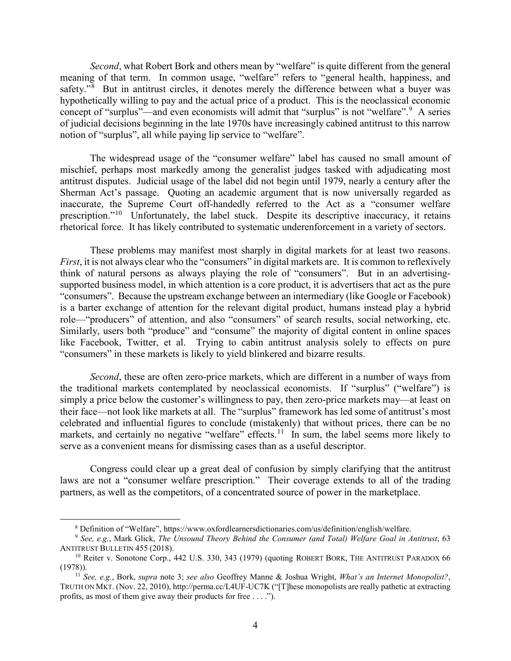*Second*, what Robert Bork and others mean by "welfare" is quite different from the general meaning of that term. In common usage, "welfare" refers to "general health, happiness, and safety."<sup>[8](#page-3-0)</sup> But in antitrust circles, it denotes merely the difference between what a buyer was hypothetically willing to pay and the actual price of a product. This is the neoclassical economic concept of "surplus"—and even economists will admit that "surplus" is not "welfare".<sup>[9](#page-3-1)</sup> A series of judicial decisions beginning in the late 1970s have increasingly cabined antitrust to this narrow notion of "surplus", all while paying lip service to "welfare".

The widespread usage of the "consumer welfare" label has caused no small amount of mischief, perhaps most markedly among the generalist judges tasked with adjudicating most antitrust disputes. Judicial usage of the label did not begin until 1979, nearly a century after the Sherman Act's passage. Quoting an academic argument that is now universally regarded as inaccurate, the Supreme Court off-handedly referred to the Act as a "consumer welfare prescription."<sup>[10](#page-3-2)</sup> Unfortunately, the label stuck. Despite its descriptive inaccuracy, it retains rhetorical force. It has likely contributed to systematic underenforcement in a variety of sectors.

These problems may manifest most sharply in digital markets for at least two reasons. *First*, it is not always clear who the "consumers" in digital markets are. It is common to reflexively think of natural persons as always playing the role of "consumers". But in an advertisingsupported business model, in which attention is a core product, it is advertisers that act as the pure "consumers". Because the upstream exchange between an intermediary (like Google or Facebook) is a barter exchange of attention for the relevant digital product, humans instead play a hybrid role—"producers" of attention, and also "consumers" of search results, social networking, etc. Similarly, users both "produce" and "consume" the majority of digital content in online spaces like Facebook, Twitter, et al. Trying to cabin antitrust analysis solely to effects on pure "consumers" in these markets is likely to yield blinkered and bizarre results.

*Second*, these are often zero-price markets, which are different in a number of ways from the traditional markets contemplated by neoclassical economists. If "surplus" ("welfare") is simply a price below the customer's willingness to pay, then zero-price markets may—at least on their face—not look like markets at all. The "surplus" framework has led some of antitrust's most celebrated and influential figures to conclude (mistakenly) that without prices, there can be no markets, and certainly no negative "welfare" effects.<sup>11</sup> In sum, the label seems more likely to serve as a convenient means for dismissing cases than as a useful descriptor.

Congress could clear up a great deal of confusion by simply clarifying that the antitrust laws are not a "consumer welfare prescription." Their coverage extends to all of the trading partners, as well as the competitors, of a concentrated source of power in the marketplace.

 <sup>8</sup> Definition of "Welfare", https://www.oxfordlearnersdictionaries.com/us/definition/english/welfare.

<span id="page-3-1"></span><span id="page-3-0"></span><sup>9</sup> *See, e.g.*, Mark Glick, *The Unsound Theory Behind the Consumer (and Total) Welfare Goal in Antitrust*, 63 ANTITRUST BULLETIN 455 (2018).

<span id="page-3-2"></span><sup>&</sup>lt;sup>10</sup> Reiter v. Sonotone Corp., 442 U.S. 330, 343 (1979) (quoting ROBERT BORK, THE ANTITRUST PARADOX 66 (1978)).

<span id="page-3-3"></span><sup>11</sup> *See, e.g.*, Bork, *supra* note 3; *see also* Geoffrey Manne & Joshua Wright, *What's an Internet Monopolist?*, TRUTH ON MKT. (Nov. 22, 2010), http://perma.cc/L4UF-UC7K ("[T]hese monopolists are really pathetic at extracting profits, as most of them give away their products for free . . . .").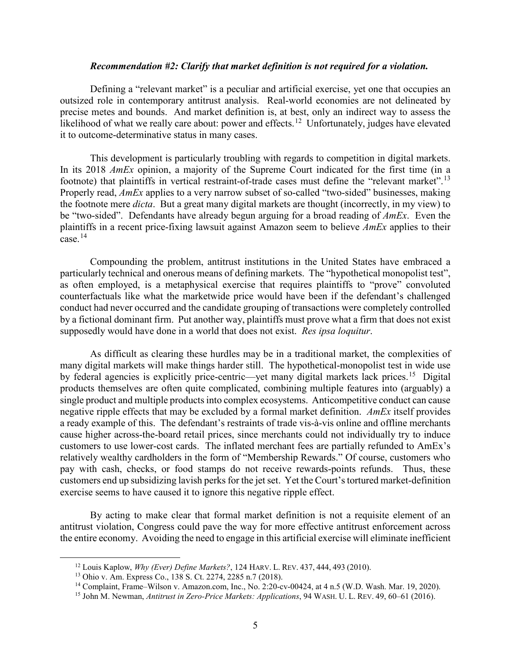### *Recommendation #2: Clarify that market definition is not required for a violation.*

Defining a "relevant market" is a peculiar and artificial exercise, yet one that occupies an outsized role in contemporary antitrust analysis. Real-world economies are not delineated by precise metes and bounds. And market definition is, at best, only an indirect way to assess the likelihood of what we really care about: power and effects.<sup>12</sup> Unfortunately, judges have elevated it to outcome-determinative status in many cases.

This development is particularly troubling with regards to competition in digital markets. In its 2018 *AmEx* opinion, a majority of the Supreme Court indicated for the first time (in a footnote) that plaintiffs in vertical restraint-of-trade cases must define the "relevant market".[13](#page-4-1) Properly read, *AmEx* applies to a very narrow subset of so-called "two-sided" businesses, making the footnote mere *dicta*. But a great many digital markets are thought (incorrectly, in my view) to be "two-sided". Defendants have already begun arguing for a broad reading of *AmEx*. Even the plaintiffs in a recent price-fixing lawsuit against Amazon seem to believe *AmEx* applies to their case. $^{14}$  $^{14}$  $^{14}$ 

Compounding the problem, antitrust institutions in the United States have embraced a particularly technical and onerous means of defining markets. The "hypothetical monopolist test", as often employed, is a metaphysical exercise that requires plaintiffs to "prove" convoluted counterfactuals like what the marketwide price would have been if the defendant's challenged conduct had never occurred and the candidate grouping of transactions were completely controlled by a fictional dominant firm. Put another way, plaintiffs must prove what a firm that does not exist supposedly would have done in a world that does not exist. *Res ipsa loquitur*.

As difficult as clearing these hurdles may be in a traditional market, the complexities of many digital markets will make things harder still. The hypothetical-monopolist test in wide use by federal agencies is explicitly price-centric—yet many digital markets lack prices.<sup>[15](#page-4-3)</sup> Digital products themselves are often quite complicated, combining multiple features into (arguably) a single product and multiple products into complex ecosystems. Anticompetitive conduct can cause negative ripple effects that may be excluded by a formal market definition. *AmEx* itself provides a ready example of this. The defendant's restraints of trade vis-à-vis online and offline merchants cause higher across-the-board retail prices, since merchants could not individually try to induce customers to use lower-cost cards. The inflated merchant fees are partially refunded to AmEx's relatively wealthy cardholders in the form of "Membership Rewards." Of course, customers who pay with cash, checks, or food stamps do not receive rewards-points refunds. Thus, these customers end up subsidizing lavish perks for the jet set. Yet the Court's tortured market-definition exercise seems to have caused it to ignore this negative ripple effect.

By acting to make clear that formal market definition is not a requisite element of an antitrust violation, Congress could pave the way for more effective antitrust enforcement across the entire economy. Avoiding the need to engage in this artificial exercise will eliminate inefficient

<span id="page-4-0"></span> <sup>12</sup> Louis Kaplow, *Why (Ever) Define Markets?*, 124 HARV. L. REV. 437, 444, <sup>493</sup> (2010).

<span id="page-4-1"></span><sup>13</sup> Ohio v. Am. Express Co., 138 S. Ct. 2274, 2285 n.7 (2018).

<span id="page-4-2"></span><sup>14</sup> Complaint, Frame–Wilson v. Amazon.com, Inc., No. 2:20-cv-00424, at 4 n.5 (W.D. Wash. Mar. 19, 2020).

<span id="page-4-3"></span><sup>15</sup> John M. Newman, *Antitrust in Zero-Price Markets: Applications*, 94 WASH. U. L. REV. 49, 60–61 (2016).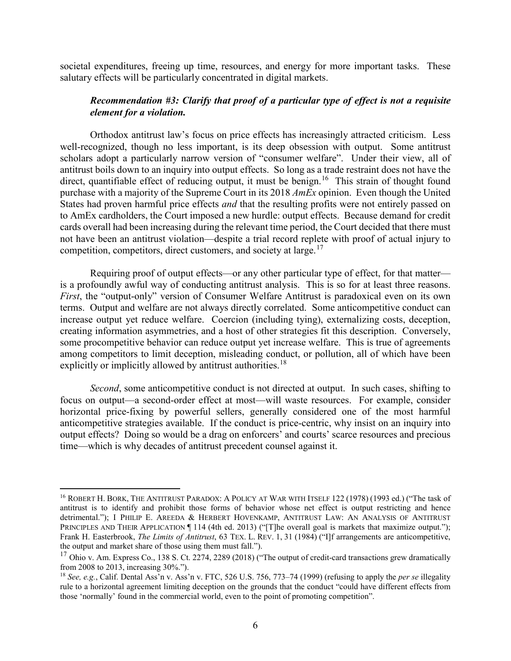societal expenditures, freeing up time, resources, and energy for more important tasks. These salutary effects will be particularly concentrated in digital markets.

## *Recommendation #3: Clarify that proof of a particular type of effect is not a requisite element for a violation.*

Orthodox antitrust law's focus on price effects has increasingly attracted criticism. Less well-recognized, though no less important, is its deep obsession with output. Some antitrust scholars adopt a particularly narrow version of "consumer welfare". Under their view, all of antitrust boils down to an inquiry into output effects. So long as a trade restraint does not have the direct, quantifiable effect of reducing output, it must be benign.<sup>16</sup> This strain of thought found purchase with a majority of the Supreme Court in its 2018 *AmEx* opinion. Even though the United States had proven harmful price effects *and* that the resulting profits were not entirely passed on to AmEx cardholders, the Court imposed a new hurdle: output effects. Because demand for credit cards overall had been increasing during the relevant time period, the Court decided that there must not have been an antitrust violation—despite a trial record replete with proof of actual injury to competition, competitors, direct customers, and society at large.<sup>17</sup>

Requiring proof of output effects—or any other particular type of effect, for that matter is a profoundly awful way of conducting antitrust analysis. This is so for at least three reasons. *First*, the "output-only" version of Consumer Welfare Antitrust is paradoxical even on its own terms. Output and welfare are not always directly correlated. Some anticompetitive conduct can increase output yet reduce welfare. Coercion (including tying), externalizing costs, deception, creating information asymmetries, and a host of other strategies fit this description. Conversely, some procompetitive behavior can reduce output yet increase welfare. This is true of agreements among competitors to limit deception, misleading conduct, or pollution, all of which have been explicitly or implicitly allowed by antitrust authorities.<sup>[18](#page-5-2)</sup>

*Second*, some anticompetitive conduct is not directed at output. In such cases, shifting to focus on output—a second-order effect at most—will waste resources. For example, consider horizontal price-fixing by powerful sellers, generally considered one of the most harmful anticompetitive strategies available. If the conduct is price-centric, why insist on an inquiry into output effects? Doing so would be a drag on enforcers' and courts' scarce resources and precious time—which is why decades of antitrust precedent counsel against it.

<span id="page-5-0"></span> <sup>16</sup> ROBERT H. BORK, THE ANTITRUST PARADOX: <sup>A</sup> POLICY AT WAR WITH ITSELF 122 (1978) (1993 ed.) ("The task of antitrust is to identify and prohibit those forms of behavior whose net effect is output restricting and hence detrimental."); I PHILIP E. AREEDA & HERBERT HOVENKAMP, ANTITRUST LAW: AN ANALYSIS OF ANTITRUST PRINCIPLES AND THEIR APPLICATION  $\P$  114 (4th ed. 2013) ("The overall goal is markets that maximize output."); Frank H. Easterbrook, *The Limits of Antitrust*, 63 TEX. L. REV. 1, 31 (1984) ("I]f arrangements are anticompetitive, the output and market share of those using them must fall.").

<span id="page-5-1"></span> $17$  Ohio v. Am. Express Co., 138 S. Ct. 2274, 2289 (2018) ("The output of credit-card transactions grew dramatically from 2008 to 2013, increasing 30%.").

<span id="page-5-2"></span><sup>18</sup> *See, e.g.*, Calif. Dental Ass'n v. Ass'n v. FTC, 526 U.S. 756, 773–74 (1999) (refusing to apply the *per se* illegality rule to a horizontal agreement limiting deception on the grounds that the conduct "could have different effects from those 'normally' found in the commercial world, even to the point of promoting competition".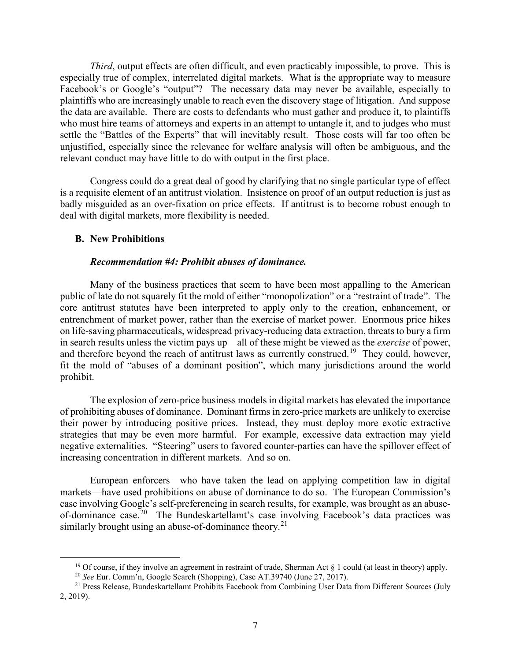*Third*, output effects are often difficult, and even practicably impossible, to prove. This is especially true of complex, interrelated digital markets. What is the appropriate way to measure Facebook's or Google's "output"? The necessary data may never be available, especially to plaintiffs who are increasingly unable to reach even the discovery stage of litigation. And suppose the data are available. There are costs to defendants who must gather and produce it, to plaintiffs who must hire teams of attorneys and experts in an attempt to untangle it, and to judges who must settle the "Battles of the Experts" that will inevitably result. Those costs will far too often be unjustified, especially since the relevance for welfare analysis will often be ambiguous, and the relevant conduct may have little to do with output in the first place.

Congress could do a great deal of good by clarifying that no single particular type of effect is a requisite element of an antitrust violation. Insistence on proof of an output reduction is just as badly misguided as an over-fixation on price effects. If antitrust is to become robust enough to deal with digital markets, more flexibility is needed.

## **B. New Prohibitions**

## *Recommendation #4: Prohibit abuses of dominance.*

Many of the business practices that seem to have been most appalling to the American public of late do not squarely fit the mold of either "monopolization" or a "restraint of trade". The core antitrust statutes have been interpreted to apply only to the creation, enhancement, or entrenchment of market power, rather than the exercise of market power. Enormous price hikes on life-saving pharmaceuticals, widespread privacy-reducing data extraction, threats to bury a firm in search results unless the victim pays up—all of these might be viewed as the *exercise* of power, and therefore beyond the reach of antitrust laws as currently construed.<sup>[19](#page-6-0)</sup> They could, however, fit the mold of "abuses of a dominant position", which many jurisdictions around the world prohibit.

The explosion of zero-price business models in digital markets has elevated the importance of prohibiting abuses of dominance. Dominant firms in zero-price markets are unlikely to exercise their power by introducing positive prices. Instead, they must deploy more exotic extractive strategies that may be even more harmful. For example, excessive data extraction may yield negative externalities. "Steering" users to favored counter-parties can have the spillover effect of increasing concentration in different markets. And so on.

European enforcers—who have taken the lead on applying competition law in digital markets—have used prohibitions on abuse of dominance to do so. The European Commission's case involving Google's self-preferencing in search results, for example, was brought as an abuse-of-dominance case.<sup>[20](#page-6-1)</sup> The Bundeskartellamt's case involving Facebook's data practices was similarly brought using an abuse-of-dominance theory.<sup>[21](#page-6-2)</sup>

<sup>&</sup>lt;sup>19</sup> Of course, if they involve an agreement in restraint of trade, Sherman Act  $\S$  1 could (at least in theory) apply.

<sup>20</sup> *See* Eur. Comm'n, Google Search (Shopping), Case AT.39740 (June 27, 2017).

<span id="page-6-2"></span><span id="page-6-1"></span><span id="page-6-0"></span><sup>&</sup>lt;sup>21</sup> Press Release, Bundeskartellamt Prohibits Facebook from Combining User Data from Different Sources (July 2, 2019).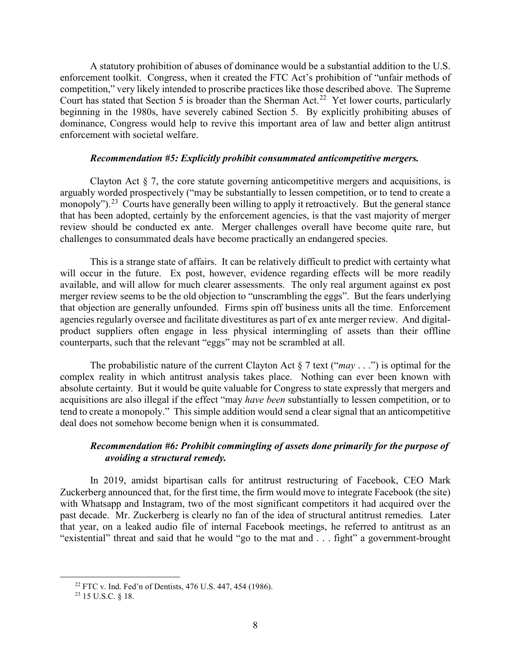A statutory prohibition of abuses of dominance would be a substantial addition to the U.S. enforcement toolkit. Congress, when it created the FTC Act's prohibition of "unfair methods of competition," very likely intended to proscribe practices like those described above. The Supreme Court has stated that Section 5 is broader than the Sherman Act.<sup>[22](#page-7-0)</sup> Yet lower courts, particularly beginning in the 1980s, have severely cabined Section 5. By explicitly prohibiting abuses of dominance, Congress would help to revive this important area of law and better align antitrust enforcement with societal welfare.

## *Recommendation #5: Explicitly prohibit consummated anticompetitive mergers.*

Clayton Act  $\S$  7, the core statute governing anticompetitive mergers and acquisitions, is arguably worded prospectively ("may be substantially to lessen competition, or to tend to create a monopoly").<sup>23</sup> Courts have generally been willing to apply it retroactively. But the general stance that has been adopted, certainly by the enforcement agencies, is that the vast majority of merger review should be conducted ex ante. Merger challenges overall have become quite rare, but challenges to consummated deals have become practically an endangered species.

This is a strange state of affairs. It can be relatively difficult to predict with certainty what will occur in the future. Ex post, however, evidence regarding effects will be more readily available, and will allow for much clearer assessments. The only real argument against ex post merger review seems to be the old objection to "unscrambling the eggs". But the fears underlying that objection are generally unfounded. Firms spin off business units all the time. Enforcement agencies regularly oversee and facilitate divestitures as part of ex ante merger review. And digitalproduct suppliers often engage in less physical intermingling of assets than their offline counterparts, such that the relevant "eggs" may not be scrambled at all.

The probabilistic nature of the current Clayton Act § 7 text ("*may* . . .") is optimal for the complex reality in which antitrust analysis takes place. Nothing can ever been known with absolute certainty. But it would be quite valuable for Congress to state expressly that mergers and acquisitions are also illegal if the effect "may *have been* substantially to lessen competition, or to tend to create a monopoly." This simple addition would send a clear signal that an anticompetitive deal does not somehow become benign when it is consummated.

# *Recommendation #6: Prohibit commingling of assets done primarily for the purpose of avoiding a structural remedy.*

In 2019, amidst bipartisan calls for antitrust restructuring of Facebook, CEO Mark Zuckerberg announced that, for the first time, the firm would move to integrate Facebook (the site) with Whatsapp and Instagram, two of the most significant competitors it had acquired over the past decade. Mr. Zuckerberg is clearly no fan of the idea of structural antitrust remedies. Later that year, on a leaked audio file of internal Facebook meetings, he referred to antitrust as an "existential" threat and said that he would "go to the mat and . . . fight" a government-brought

<span id="page-7-0"></span> <sup>22</sup> FTC v. Ind. Fed'n of Dentists, 476 U.S. 447, 454 (1986).

<span id="page-7-1"></span><sup>23</sup> 15 U.S.C. § 18.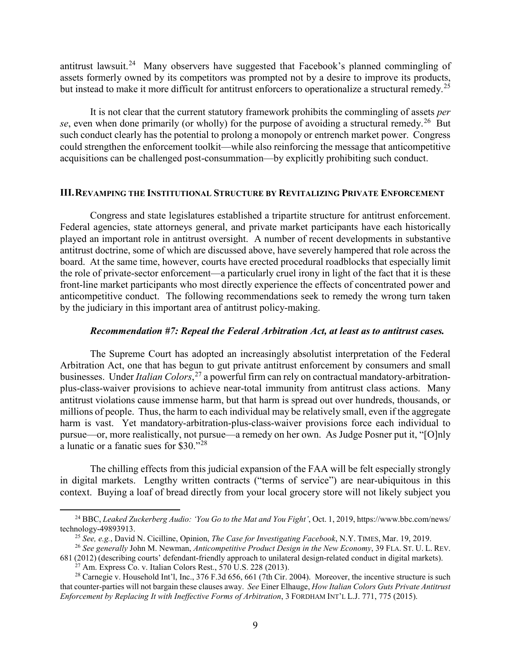antitrust lawsuit.<sup>[24](#page-8-0)</sup> Many observers have suggested that Facebook's planned commingling of assets formerly owned by its competitors was prompted not by a desire to improve its products, but instead to make it more difficult for antitrust enforcers to operationalize a structural remedy.<sup>[25](#page-8-1)</sup>

It is not clear that the current statutory framework prohibits the commingling of assets *per*  se, even when done primarily (or wholly) for the purpose of avoiding a structural remedy.<sup>[26](#page-8-2)</sup> But such conduct clearly has the potential to prolong a monopoly or entrench market power. Congress could strengthen the enforcement toolkit—while also reinforcing the message that anticompetitive acquisitions can be challenged post-consummation—by explicitly prohibiting such conduct.

### **III.REVAMPING THE INSTITUTIONAL STRUCTURE BY REVITALIZING PRIVATE ENFORCEMENT**

Congress and state legislatures established a tripartite structure for antitrust enforcement. Federal agencies, state attorneys general, and private market participants have each historically played an important role in antitrust oversight. A number of recent developments in substantive antitrust doctrine, some of which are discussed above, have severely hampered that role across the board. At the same time, however, courts have erected procedural roadblocks that especially limit the role of private-sector enforcement—a particularly cruel irony in light of the fact that it is these front-line market participants who most directly experience the effects of concentrated power and anticompetitive conduct. The following recommendations seek to remedy the wrong turn taken by the judiciary in this important area of antitrust policy-making.

#### *Recommendation #7: Repeal the Federal Arbitration Act, at least as to antitrust cases.*

The Supreme Court has adopted an increasingly absolutist interpretation of the Federal Arbitration Act, one that has begun to gut private antitrust enforcement by consumers and small businesses. Under *Italian Colors*, [27](#page-8-3) a powerful firm can rely on contractual mandatory-arbitrationplus-class-waiver provisions to achieve near-total immunity from antitrust class actions. Many antitrust violations cause immense harm, but that harm is spread out over hundreds, thousands, or millions of people. Thus, the harm to each individual may be relatively small, even if the aggregate harm is vast. Yet mandatory-arbitration-plus-class-waiver provisions force each individual to pursue—or, more realistically, not pursue—a remedy on her own. As Judge Posner put it, "[O]nly a lunatic or a fanatic sues for \$30."[28](#page-8-4)

The chilling effects from this judicial expansion of the FAA will be felt especially strongly in digital markets. Lengthy written contracts ("terms of service") are near-ubiquitous in this context. Buying a loaf of bread directly from your local grocery store will not likely subject you

<span id="page-8-0"></span> <sup>24</sup> BBC, *Leaked Zuckerberg Audio: 'You Go to the Mat and You Fight'*, Oct. 1, 2019, https://www.bbc.com/news/ technology-49893913.

<sup>25</sup> *See, e.g.*, David N. Cicilline, Opinion, *The Case for Investigating Facebook*, N.Y. TIMES, Mar. 19, 2019.

<span id="page-8-2"></span><span id="page-8-1"></span><sup>26</sup> *See generally* John M. Newman, *Anticompetitive Product Design in the New Economy*, 39 FLA. ST. U. L. REV. 681 (2012) (describing courts' defendant-friendly approach to unilateral design-related conduct in digital markets).

 $^{27}$  Am. Express Co. v. Italian Colors Rest., 570 U.S. 228 (2013).

<span id="page-8-4"></span><span id="page-8-3"></span><sup>&</sup>lt;sup>28</sup> Carnegie v. Household Int'l, Inc.,  $376$  F.3d  $656$ ,  $661$  (7th Cir. 2004). Moreover, the incentive structure is such that counter-parties will not bargain these clauses away. *See* Einer Elhauge, *How Italian Colors Guts Private Antitrust Enforcement by Replacing It with Ineffective Forms of Arbitration*, 3 FORDHAM INT'L L.J. 771, 775 (2015).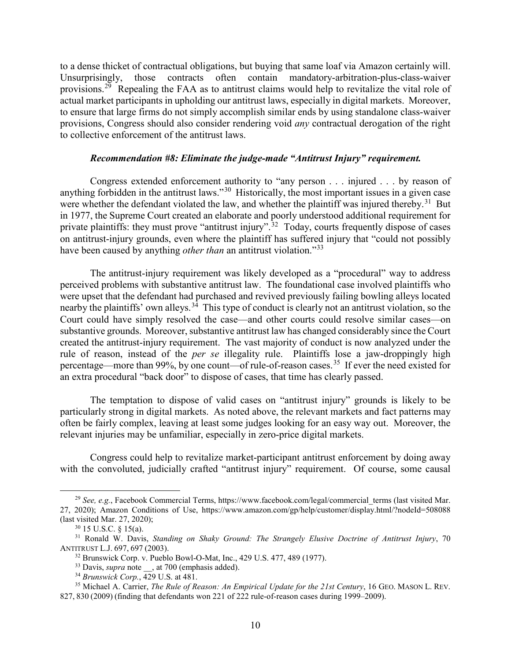to a dense thicket of contractual obligations, but buying that same loaf via Amazon certainly will. Unsurprisingly, those contracts often contain mandatory-arbitration-plus-class-waiver provisions.<sup>29</sup> Repealing the FAA as to antitrust claims would help to revitalize the vital role of actual market participants in upholding our antitrust laws, especially in digital markets. Moreover, to ensure that large firms do not simply accomplish similar ends by using standalone class-waiver provisions, Congress should also consider rendering void *any* contractual derogation of the right to collective enforcement of the antitrust laws.

## *Recommendation #8: Eliminate the judge-made "Antitrust Injury" requirement.*

Congress extended enforcement authority to "any person . . . injured . . . by reason of anything forbidden in the antitrust laws."[30](#page-9-1) Historically, the most important issues in a given case were whether the defendant violated the law, and whether the plaintiff was injured thereby.<sup>[31](#page-9-2)</sup> But in 1977, the Supreme Court created an elaborate and poorly understood additional requirement for private plaintiffs: they must prove "antitrust injury".<sup>[32](#page-9-3)</sup> Today, courts frequently dispose of cases on antitrust-injury grounds, even where the plaintiff has suffered injury that "could not possibly have been caused by anything *other than* an antitrust violation."[33](#page-9-4)

The antitrust-injury requirement was likely developed as a "procedural" way to address perceived problems with substantive antitrust law. The foundational case involved plaintiffs who were upset that the defendant had purchased and revived previously failing bowling alleys located nearby the plaintiffs' own alleys.<sup>34</sup> This type of conduct is clearly not an antitrust violation, so the Court could have simply resolved the case—and other courts could resolve similar cases—on substantive grounds. Moreover, substantive antitrust law has changed considerably since the Court created the antitrust-injury requirement. The vast majority of conduct is now analyzed under the rule of reason, instead of the *per se* illegality rule. Plaintiffs lose a jaw-droppingly high percentage—more than 99%, by one count—of rule-of-reason cases.<sup>35</sup> If ever the need existed for an extra procedural "back door" to dispose of cases, that time has clearly passed.

The temptation to dispose of valid cases on "antitrust injury" grounds is likely to be particularly strong in digital markets. As noted above, the relevant markets and fact patterns may often be fairly complex, leaving at least some judges looking for an easy way out. Moreover, the relevant injuries may be unfamiliar, especially in zero-price digital markets.

Congress could help to revitalize market-participant antitrust enforcement by doing away with the convoluted, judicially crafted "antitrust injury" requirement. Of course, some causal

<span id="page-9-0"></span><sup>&</sup>lt;sup>29</sup> *See, e.g.*, Facebook Commercial Terms, https://www.facebook.com/legal/commercial terms (last visited Mar. 27, 2020); Amazon Conditions of Use, https://www.amazon.com/gp/help/customer/display.html/?nodeId=508088 (last visited Mar. 27, 2020); 30 15 U.S.C. § 15(a).

<span id="page-9-3"></span><span id="page-9-2"></span><span id="page-9-1"></span><sup>31</sup> Ronald W. Davis, *Standing on Shaky Ground: The Strangely Elusive Doctrine of Antitrust Injury*, 70 ANTITRUST L.J. 697, 697 (2003).

<sup>32</sup> Brunswick Corp. v. Pueblo Bowl-O-Mat, Inc., 429 U.S. 477, 489 (1977).

<sup>&</sup>lt;sup>33</sup> Davis, *supra* note , at 700 (emphasis added).

<sup>34</sup> *Brunswick Corp.*, 429 U.S. at 481.

<span id="page-9-6"></span><span id="page-9-5"></span><span id="page-9-4"></span><sup>&</sup>lt;sup>35</sup> Michael A. Carrier, *The Rule of Reason: An Empirical Update for the 21st Century*, 16 GEO. MASON L. REV. 827, 830 (2009) (finding that defendants won 221 of 222 rule-of-reason cases during 1999–2009).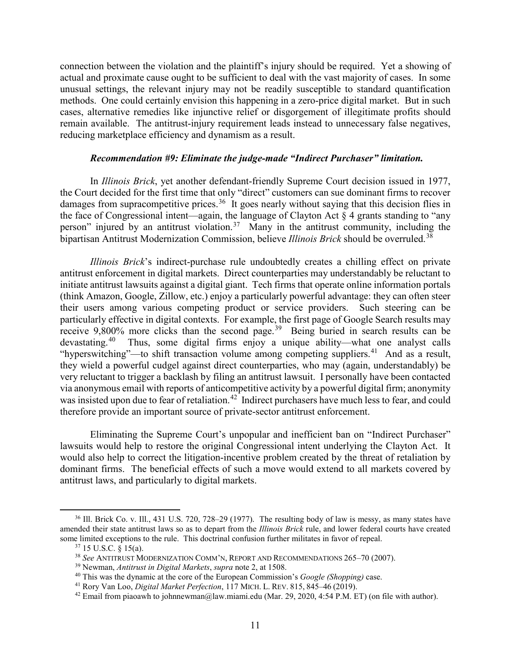connection between the violation and the plaintiff's injury should be required. Yet a showing of actual and proximate cause ought to be sufficient to deal with the vast majority of cases. In some unusual settings, the relevant injury may not be readily susceptible to standard quantification methods. One could certainly envision this happening in a zero-price digital market. But in such cases, alternative remedies like injunctive relief or disgorgement of illegitimate profits should remain available. The antitrust-injury requirement leads instead to unnecessary false negatives, reducing marketplace efficiency and dynamism as a result.

## *Recommendation #9: Eliminate the judge-made "Indirect Purchaser" limitation.*

In *Illinois Brick*, yet another defendant-friendly Supreme Court decision issued in 1977, the Court decided for the first time that only "direct" customers can sue dominant firms to recover damages from supracompetitive prices.<sup>[36](#page-10-0)</sup> It goes nearly without saying that this decision flies in the face of Congressional intent—again, the language of Clayton Act  $\S 4$  grants standing to "any person" injured by an antitrust violation.<sup>37</sup> Many in the antitrust community, including the bipartisan Antitrust Modernization Commission, believe *Illinois Brick* should be overruled.<sup>[38](#page-10-2)</sup>

*Illinois Brick*'s indirect-purchase rule undoubtedly creates a chilling effect on private antitrust enforcement in digital markets. Direct counterparties may understandably be reluctant to initiate antitrust lawsuits against a digital giant. Tech firms that operate online information portals (think Amazon, Google, Zillow, etc.) enjoy a particularly powerful advantage: they can often steer their users among various competing product or service providers. Such steering can be particularly effective in digital contexts. For example, the first page of Google Search results may receive 9,800% more clicks than the second page.<sup>39</sup> Being buried in search results can be devastating.[40](#page-10-4) Thus, some digital firms enjoy a unique ability—what one analyst calls "hyperswitching"—to shift transaction volume among competing suppliers.<sup>41</sup> And as a result, they wield a powerful cudgel against direct counterparties, who may (again, understandably) be very reluctant to trigger a backlash by filing an antitrust lawsuit. I personally have been contacted via anonymous email with reports of anticompetitive activity by a powerful digital firm; anonymity was insisted upon due to fear of retaliation.<sup>[42](#page-10-6)</sup> Indirect purchasers have much less to fear, and could therefore provide an important source of private-sector antitrust enforcement.

Eliminating the Supreme Court's unpopular and inefficient ban on "Indirect Purchaser" lawsuits would help to restore the original Congressional intent underlying the Clayton Act. It would also help to correct the litigation-incentive problem created by the threat of retaliation by dominant firms. The beneficial effects of such a move would extend to all markets covered by antitrust laws, and particularly to digital markets.

<span id="page-10-2"></span><span id="page-10-1"></span><span id="page-10-0"></span><sup>&</sup>lt;sup>36</sup> Ill. Brick Co. v. Ill., 431 U.S. 720, 728–29 (1977). The resulting body of law is messy, as many states have amended their state antitrust laws so as to depart from the *Illinois Brick* rule, and lower federal courts have created some limited exceptions to the rule. This doctrinal confusion further militates in favor of repeal.

 $37$  15 U.S.C. § 15(a).

<sup>38</sup> *See* ANTITRUST MODERNIZATION COMM'N, REPORT AND RECOMMENDATIONS 265–70 (2007).

<span id="page-10-3"></span><sup>39</sup> Newman, *Antitrust in Digital Markets*, *supra* note 2, at 1508.

<span id="page-10-4"></span><sup>40</sup> This was the dynamic at the core of the European Commission's *Google (Shopping)* case.

<span id="page-10-5"></span><sup>41</sup> Rory Van Loo, *Digital Market Perfection*, 117 MICH. L. REV. 815, 845–46 (2019).

<span id="page-10-6"></span><sup>&</sup>lt;sup>42</sup> Email from piaoawh to johnnewman@law.miami.edu (Mar. 29, 2020, 4:54 P.M. ET) (on file with author).